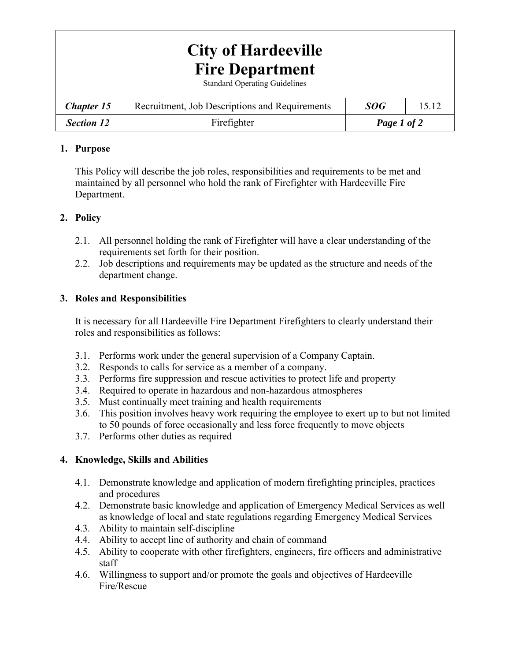# **City of Hardeeville Fire Department**

Standard Operating Guidelines

| <b>Chapter 15</b> | Recruitment, Job Descriptions and Requirements | <b>SOG</b>  |  |
|-------------------|------------------------------------------------|-------------|--|
| <b>Section 12</b> | Firefighter                                    | Page 1 of 2 |  |

### **1. Purpose**

This Policy will describe the job roles, responsibilities and requirements to be met and maintained by all personnel who hold the rank of Firefighter with Hardeeville Fire Department.

## **2. Policy**

- 2.1. All personnel holding the rank of Firefighter will have a clear understanding of the requirements set forth for their position.
- 2.2. Job descriptions and requirements may be updated as the structure and needs of the department change.

### **3. Roles and Responsibilities**

It is necessary for all Hardeeville Fire Department Firefighters to clearly understand their roles and responsibilities as follows:

- 3.1. Performs work under the general supervision of a Company Captain.
- 3.2. Responds to calls for service as a member of a company.
- 3.3. Performs fire suppression and rescue activities to protect life and property
- 3.4. Required to operate in hazardous and non-hazardous atmospheres
- 3.5. Must continually meet training and health requirements
- 3.6. This position involves heavy work requiring the employee to exert up to but not limited to 50 pounds of force occasionally and less force frequently to move objects
- 3.7. Performs other duties as required

## **4. Knowledge, Skills and Abilities**

- 4.1. Demonstrate knowledge and application of modern firefighting principles, practices and procedures
- 4.2. Demonstrate basic knowledge and application of Emergency Medical Services as well as knowledge of local and state regulations regarding Emergency Medical Services
- 4.3. Ability to maintain self-discipline
- 4.4. Ability to accept line of authority and chain of command
- 4.5. Ability to cooperate with other firefighters, engineers, fire officers and administrative staff
- 4.6. Willingness to support and/or promote the goals and objectives of Hardeeville Fire/Rescue